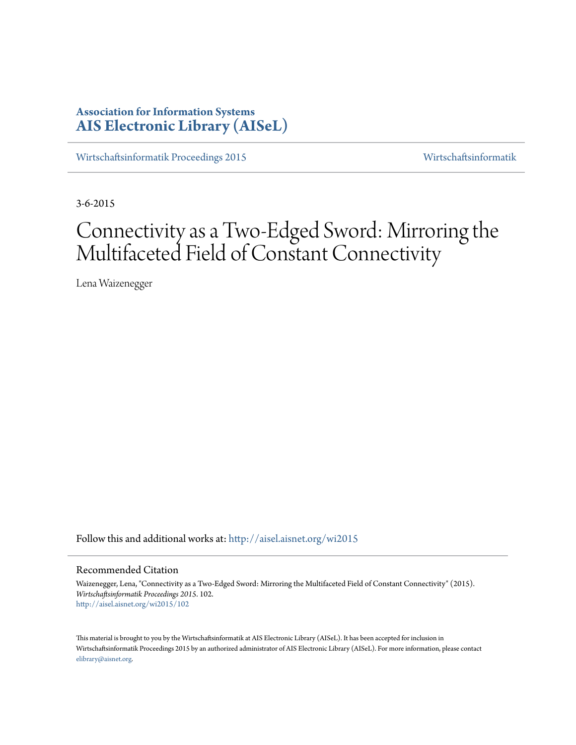# **Association for Information Systems [AIS Electronic Library \(AISeL\)](http://aisel.aisnet.org?utm_source=aisel.aisnet.org%2Fwi2015%2F102&utm_medium=PDF&utm_campaign=PDFCoverPages)**

[Wirtschaftsinformatik Proceedings 2015](http://aisel.aisnet.org/wi2015?utm_source=aisel.aisnet.org%2Fwi2015%2F102&utm_medium=PDF&utm_campaign=PDFCoverPages) [Wirtschaftsinformatik](http://aisel.aisnet.org/wi?utm_source=aisel.aisnet.org%2Fwi2015%2F102&utm_medium=PDF&utm_campaign=PDFCoverPages)

3-6-2015

# Connectivity as a Two-Edged Sword: Mirroring the Multifaceted Field of Constant Connectivity

Lena Waizenegger

Follow this and additional works at: [http://aisel.aisnet.org/wi2015](http://aisel.aisnet.org/wi2015?utm_source=aisel.aisnet.org%2Fwi2015%2F102&utm_medium=PDF&utm_campaign=PDFCoverPages)

## Recommended Citation

Waizenegger, Lena, "Connectivity as a Two-Edged Sword: Mirroring the Multifaceted Field of Constant Connectivity" (2015). *Wirtschaftsinformatik Proceedings 2015*. 102. [http://aisel.aisnet.org/wi2015/102](http://aisel.aisnet.org/wi2015/102?utm_source=aisel.aisnet.org%2Fwi2015%2F102&utm_medium=PDF&utm_campaign=PDFCoverPages)

This material is brought to you by the Wirtschaftsinformatik at AIS Electronic Library (AISeL). It has been accepted for inclusion in Wirtschaftsinformatik Proceedings 2015 by an authorized administrator of AIS Electronic Library (AISeL). For more information, please contact [elibrary@aisnet.org.](mailto:elibrary@aisnet.org%3E)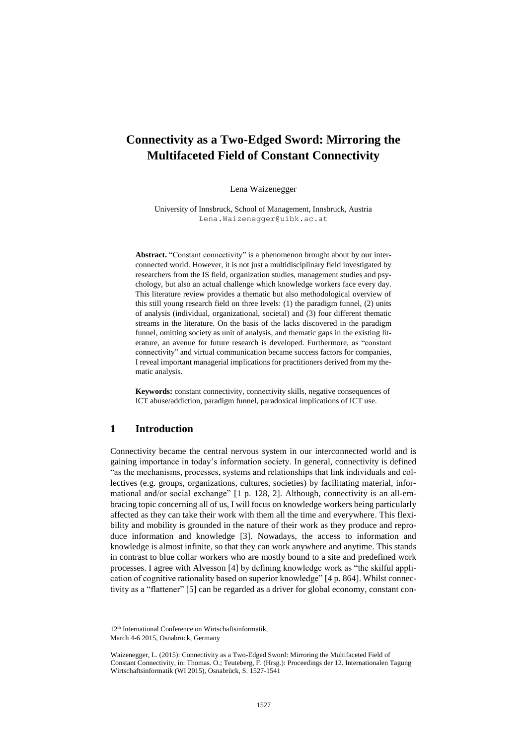# **Connectivity as a Two-Edged Sword: Mirroring the Multifaceted Field of Constant Connectivity**

Lena Waizenegger

University of Innsbruck, School of Management, Innsbruck, Austria Lena.Waizenegger@uibk.ac.at

Abstract. "Constant connectivity" is a phenomenon brought about by our interconnected world. However, it is not just a multidisciplinary field investigated by researchers from the IS field, organization studies, management studies and psychology, but also an actual challenge which knowledge workers face every day. This literature review provides a thematic but also methodological overview of this still young research field on three levels: (1) the paradigm funnel, (2) units of analysis (individual, organizational, societal) and (3) four different thematic streams in the literature. On the basis of the lacks discovered in the paradigm funnel, omitting society as unit of analysis, and thematic gaps in the existing literature, an avenue for future research is developed. Furthermore, as "constant connectivity" and virtual communication became success factors for companies, I reveal important managerial implications for practitioners derived from my thematic analysis.

**Keywords:** constant connectivity, connectivity skills, negative consequences of ICT abuse/addiction, paradigm funnel, paradoxical implications of ICT use.

# **1 Introduction**

Connectivity became the central nervous system in our interconnected world and is gaining importance in today's information society. In general, connectivity is defined "as the mechanisms, processes, systems and relationships that link individuals and collectives (e.g. groups, organizations, cultures, societies) by facilitating material, informational and/or social exchange" [1 p. 128, 2]. Although, connectivity is an all-embracing topic concerning all of us, I will focus on knowledge workers being particularly affected as they can take their work with them all the time and everywhere. This flexibility and mobility is grounded in the nature of their work as they produce and reproduce information and knowledge [3]. Nowadays, the access to information and knowledge is almost infinite, so that they can work anywhere and anytime. This stands in contrast to blue collar workers who are mostly bound to a site and predefined work processes. I agree with Alvesson [4] by defining knowledge work as "the skilful application of cognitive rationality based on superior knowledge" [4 p. 864]. Whilst connectivity as a "flattener" [5] can be regarded as a driver for global economy, constant con-

12th International Conference on Wirtschaftsinformatik, March 4-6 2015, Osnabrück, Germany

Waizenegger, L. (2015): Connectivity as a Two-Edged Sword: Mirroring the Multifaceted Field of Constant Connectivity, in: Thomas. O.; Teuteberg, F. (Hrsg.): Proceedings der 12. Internationalen Tagung Wirtschaftsinformatik (WI 2015), Osnabrück, S. 1527-1541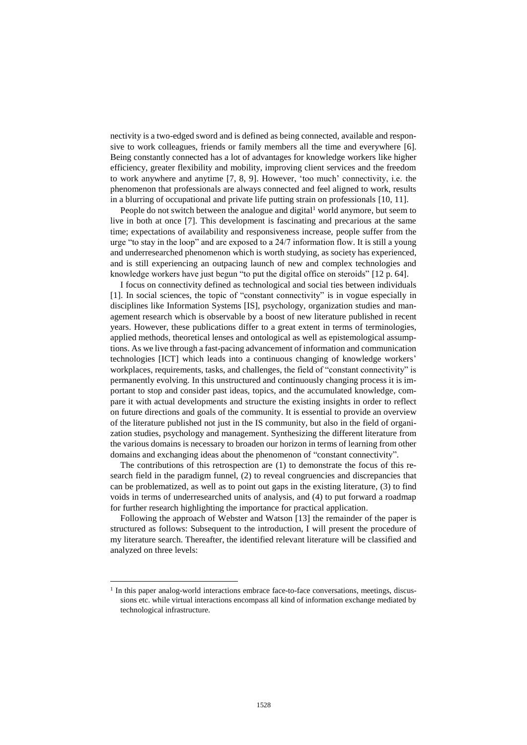nectivity is a two-edged sword and is defined as being connected, available and responsive to work colleagues, friends or family members all the time and everywhere [6]. Being constantly connected has a lot of advantages for knowledge workers like higher efficiency, greater flexibility and mobility, improving client services and the freedom to work anywhere and anytime [7, 8, 9]. However, 'too much' connectivity, i.e. the phenomenon that professionals are always connected and feel aligned to work, results in a blurring of occupational and private life putting strain on professionals [10, 11].

People do not switch between the analogue and digital<sup>1</sup> world anymore, but seem to live in both at once [7]. This development is fascinating and precarious at the same time; expectations of availability and responsiveness increase, people suffer from the urge "to stay in the loop" and are exposed to a 24/7 information flow. It is still a young and underresearched phenomenon which is worth studying, as society has experienced, and is still experiencing an outpacing launch of new and complex technologies and knowledge workers have just begun "to put the digital office on steroids" [12 p. 64].

I focus on connectivity defined as technological and social ties between individuals [1]. In social sciences, the topic of "constant connectivity" is in vogue especially in disciplines like Information Systems [IS], psychology, organization studies and management research which is observable by a boost of new literature published in recent years. However, these publications differ to a great extent in terms of terminologies, applied methods, theoretical lenses and ontological as well as epistemological assumptions. As we live through a fast-pacing advancement of information and communication technologies [ICT] which leads into a continuous changing of knowledge workers' workplaces, requirements, tasks, and challenges, the field of "constant connectivity" is permanently evolving. In this unstructured and continuously changing process it is important to stop and consider past ideas, topics, and the accumulated knowledge, compare it with actual developments and structure the existing insights in order to reflect on future directions and goals of the community. It is essential to provide an overview of the literature published not just in the IS community, but also in the field of organization studies, psychology and management. Synthesizing the different literature from the various domains is necessary to broaden our horizon in terms of learning from other domains and exchanging ideas about the phenomenon of "constant connectivity".

The contributions of this retrospection are (1) to demonstrate the focus of this research field in the paradigm funnel, (2) to reveal congruencies and discrepancies that can be problematized, as well as to point out gaps in the existing literature, (3) to find voids in terms of underresearched units of analysis, and (4) to put forward a roadmap for further research highlighting the importance for practical application.

Following the approach of Webster and Watson [13] the remainder of the paper is structured as follows: Subsequent to the introduction, I will present the procedure of my literature search. Thereafter, the identified relevant literature will be classified and analyzed on three levels:

l

<sup>&</sup>lt;sup>1</sup> In this paper analog-world interactions embrace face-to-face conversations, meetings, discussions etc. while virtual interactions encompass all kind of information exchange mediated by technological infrastructure.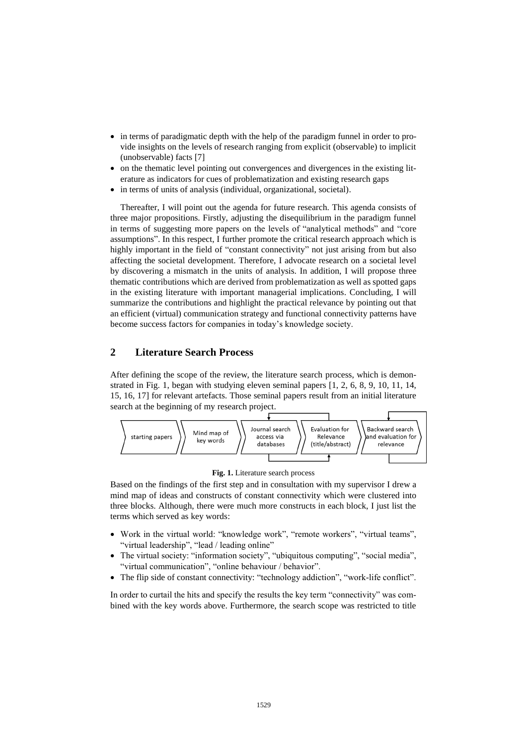- in terms of paradigmatic depth with the help of the paradigm funnel in order to provide insights on the levels of research ranging from explicit (observable) to implicit (unobservable) facts [7]
- on the thematic level pointing out convergences and divergences in the existing literature as indicators for cues of problematization and existing research gaps
- in terms of units of analysis (individual, organizational, societal).

Thereafter, I will point out the agenda for future research. This agenda consists of three major propositions. Firstly, adjusting the disequilibrium in the paradigm funnel in terms of suggesting more papers on the levels of "analytical methods" and "core assumptions". In this respect, I further promote the critical research approach which is highly important in the field of "constant connectivity" not just arising from but also affecting the societal development. Therefore, I advocate research on a societal level by discovering a mismatch in the units of analysis. In addition, I will propose three thematic contributions which are derived from problematization as well as spotted gaps in the existing literature with important managerial implications. Concluding, I will summarize the contributions and highlight the practical relevance by pointing out that an efficient (virtual) communication strategy and functional connectivity patterns have become success factors for companies in today's knowledge society.

## **2 Literature Search Process**

After defining the scope of the review, the literature search process, which is demonstrated in [Fig. 1,](#page-3-0) began with studying eleven seminal papers [1, 2, 6, 8, 9, 10, 11, 14, 15, 16, 17] for relevant artefacts. Those seminal papers result from an initial literature search at the beginning of my research project.



**Fig. 1.** Literature search process

<span id="page-3-0"></span>Based on the findings of the first step and in consultation with my supervisor I drew a mind map of ideas and constructs of constant connectivity which were clustered into three blocks. Although, there were much more constructs in each block, I just list the terms which served as key words:

- Work in the virtual world: "knowledge work", "remote workers", "virtual teams", "virtual leadership", "lead / leading online"
- The virtual society: "information society", "ubiquitous computing", "social media", "virtual communication", "online behaviour / behavior".
- The flip side of constant connectivity: "technology addiction", "work-life conflict".

In order to curtail the hits and specify the results the key term "connectivity" was combined with the key words above. Furthermore, the search scope was restricted to title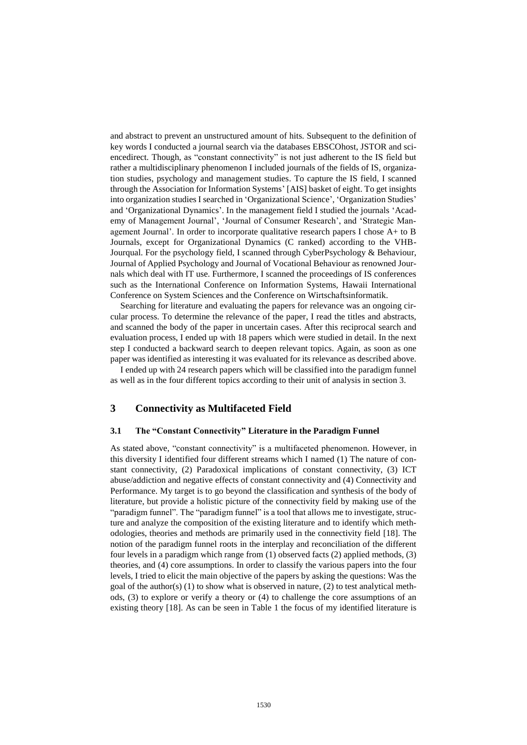and abstract to prevent an unstructured amount of hits. Subsequent to the definition of key words I conducted a journal search via the databases EBSCOhost, JSTOR and sciencedirect. Though, as "constant connectivity" is not just adherent to the IS field but rather a multidisciplinary phenomenon I included journals of the fields of IS, organization studies, psychology and management studies. To capture the IS field, I scanned through the Association for Information Systems' [AIS] basket of eight. To get insights into organization studies I searched in 'Organizational Science', 'Organization Studies' and 'Organizational Dynamics'. In the management field I studied the journals 'Academy of Management Journal', 'Journal of Consumer Research', and 'Strategic Management Journal'. In order to incorporate qualitative research papers I chose A+ to B Journals, except for Organizational Dynamics (C ranked) according to the VHB-Jourqual. For the psychology field, I scanned through CyberPsychology & Behaviour, Journal of Applied Psychology and Journal of Vocational Behaviour as renowned Journals which deal with IT use. Furthermore, I scanned the proceedings of IS conferences such as the International Conference on Information Systems, Hawaii International Conference on System Sciences and the Conference on Wirtschaftsinformatik.

Searching for literature and evaluating the papers for relevance was an ongoing circular process. To determine the relevance of the paper, I read the titles and abstracts, and scanned the body of the paper in uncertain cases. After this reciprocal search and evaluation process, I ended up with 18 papers which were studied in detail. In the next step I conducted a backward search to deepen relevant topics. Again, as soon as one paper was identified as interesting it was evaluated for its relevance as described above.

I ended up with 24 research papers which will be classified into the paradigm funnel as well as in the four different topics according to their unit of analysis in section 3.

# **3 Connectivity as Multifaceted Field**

#### **3.1 The "Constant Connectivity" Literature in the Paradigm Funnel**

As stated above, "constant connectivity" is a multifaceted phenomenon. However, in this diversity I identified four different streams which I named (1) The nature of constant connectivity, (2) Paradoxical implications of constant connectivity, (3) ICT abuse/addiction and negative effects of constant connectivity and (4) Connectivity and Performance. My target is to go beyond the classification and synthesis of the body of literature, but provide a holistic picture of the connectivity field by making use of the "paradigm funnel". The "paradigm funnel" is a tool that allows me to investigate, structure and analyze the composition of the existing literature and to identify which methodologies, theories and methods are primarily used in the connectivity field [18]. The notion of the paradigm funnel roots in the interplay and reconciliation of the different four levels in a paradigm which range from (1) observed facts (2) applied methods, (3) theories, and (4) core assumptions. In order to classify the various papers into the four levels, I tried to elicit the main objective of the papers by asking the questions: Was the goal of the author(s) (1) to show what is observed in nature, (2) to test analytical methods, (3) to explore or verify a theory or (4) to challenge the core assumptions of an existing theory [18]. As can be seen in Table 1 the focus of my identified literature is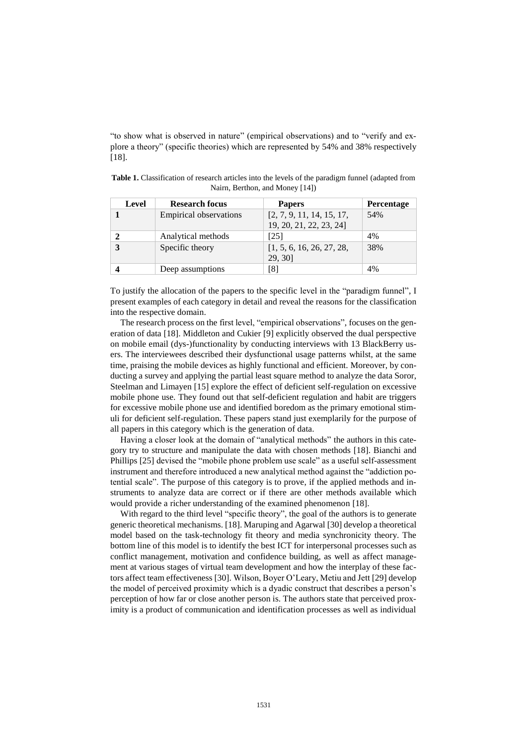"to show what is observed in nature" (empirical observations) and to "verify and explore a theory" (specific theories) which are represented by 54% and 38% respectively [18].

| Level | <b>Research focus</b>         | <b>Papers</b>                                        | Percentage |
|-------|-------------------------------|------------------------------------------------------|------------|
|       | <b>Empirical observations</b> | [2, 7, 9, 11, 14, 15, 17,<br>19, 20, 21, 22, 23, 24] | 54%        |
|       | Analytical methods            | [25]                                                 | 4%         |
|       | Specific theory               | [1, 5, 6, 16, 26, 27, 28,<br>29, 30]                 | 38%        |
|       | Deep assumptions              | [8]                                                  | 4%         |

**Table 1.** Classification of research articles into the levels of the paradigm funnel (adapted from Nairn, Berthon, and Money [14])

To justify the allocation of the papers to the specific level in the "paradigm funnel", I present examples of each category in detail and reveal the reasons for the classification into the respective domain.

The research process on the first level, "empirical observations", focuses on the generation of data [18]. Middleton and Cukier [9] explicitly observed the dual perspective on mobile email (dys-)functionality by conducting interviews with 13 BlackBerry users. The interviewees described their dysfunctional usage patterns whilst, at the same time, praising the mobile devices as highly functional and efficient. Moreover, by conducting a survey and applying the partial least square method to analyze the data Soror, Steelman and Limayen [15] explore the effect of deficient self-regulation on excessive mobile phone use. They found out that self-deficient regulation and habit are triggers for excessive mobile phone use and identified boredom as the primary emotional stimuli for deficient self-regulation. These papers stand just exemplarily for the purpose of all papers in this category which is the generation of data.

Having a closer look at the domain of "analytical methods" the authors in this category try to structure and manipulate the data with chosen methods [18]. Bianchi and Phillips [25] devised the "mobile phone problem use scale" as a useful self-assessment instrument and therefore introduced a new analytical method against the "addiction potential scale". The purpose of this category is to prove, if the applied methods and instruments to analyze data are correct or if there are other methods available which would provide a richer understanding of the examined phenomenon [18].

With regard to the third level "specific theory", the goal of the authors is to generate generic theoretical mechanisms. [18]. Maruping and Agarwal [30] develop a theoretical model based on the task-technology fit theory and media synchronicity theory. The bottom line of this model is to identify the best ICT for interpersonal processes such as conflict management, motivation and confidence building, as well as affect management at various stages of virtual team development and how the interplay of these factors affect team effectiveness [30]. Wilson, Boyer O'Leary, Metiu and Jett [29] develop the model of perceived proximity which is a dyadic construct that describes a person's perception of how far or close another person is. The authors state that perceived proximity is a product of communication and identification processes as well as individual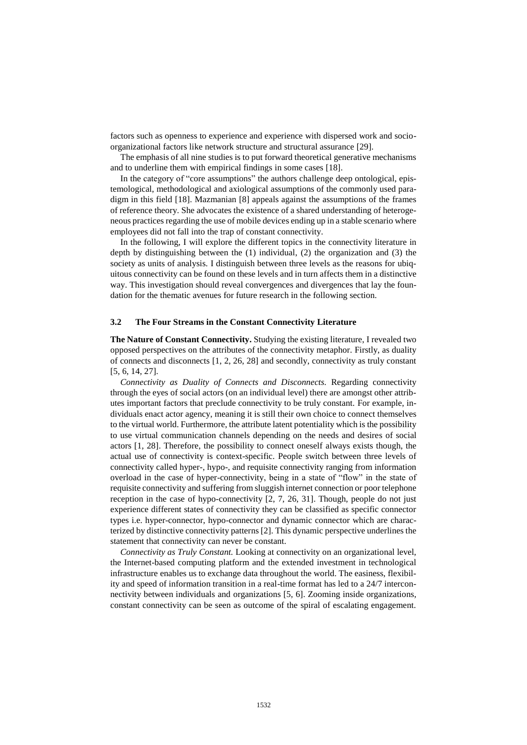factors such as openness to experience and experience with dispersed work and socioorganizational factors like network structure and structural assurance [29].

The emphasis of all nine studies is to put forward theoretical generative mechanisms and to underline them with empirical findings in some cases [18].

In the category of "core assumptions" the authors challenge deep ontological, epistemological, methodological and axiological assumptions of the commonly used paradigm in this field [18]. Mazmanian [8] appeals against the assumptions of the frames of reference theory. She advocates the existence of a shared understanding of heterogeneous practices regarding the use of mobile devices ending up in a stable scenario where employees did not fall into the trap of constant connectivity.

In the following, I will explore the different topics in the connectivity literature in depth by distinguishing between the (1) individual, (2) the organization and (3) the society as units of analysis. I distinguish between three levels as the reasons for ubiquitous connectivity can be found on these levels and in turn affects them in a distinctive way. This investigation should reveal convergences and divergences that lay the foundation for the thematic avenues for future research in the following section.

#### **3.2 The Four Streams in the Constant Connectivity Literature**

**The Nature of Constant Connectivity.** Studying the existing literature, I revealed two opposed perspectives on the attributes of the connectivity metaphor. Firstly, as duality of connects and disconnects [1, 2, 26, 28] and secondly, connectivity as truly constant [5, 6, 14, 27].

*Connectivity as Duality of Connects and Disconnects.* Regarding connectivity through the eyes of social actors (on an individual level) there are amongst other attributes important factors that preclude connectivity to be truly constant. For example, individuals enact actor agency, meaning it is still their own choice to connect themselves to the virtual world. Furthermore, the attribute latent potentiality which is the possibility to use virtual communication channels depending on the needs and desires of social actors [1, 28]. Therefore, the possibility to connect oneself always exists though, the actual use of connectivity is context-specific. People switch between three levels of connectivity called hyper-, hypo-, and requisite connectivity ranging from information overload in the case of hyper-connectivity, being in a state of "flow" in the state of requisite connectivity and suffering from sluggish internet connection or poor telephone reception in the case of hypo-connectivity [2, 7, 26, 31]. Though, people do not just experience different states of connectivity they can be classified as specific connector types i.e. hyper-connector, hypo-connector and dynamic connector which are characterized by distinctive connectivity patterns [2]. This dynamic perspective underlines the statement that connectivity can never be constant.

*Connectivity as Truly Constant.* Looking at connectivity on an organizational level, the Internet-based computing platform and the extended investment in technological infrastructure enables us to exchange data throughout the world. The easiness, flexibility and speed of information transition in a real-time format has led to a 24/7 interconnectivity between individuals and organizations [5, 6]. Zooming inside organizations, constant connectivity can be seen as outcome of the spiral of escalating engagement.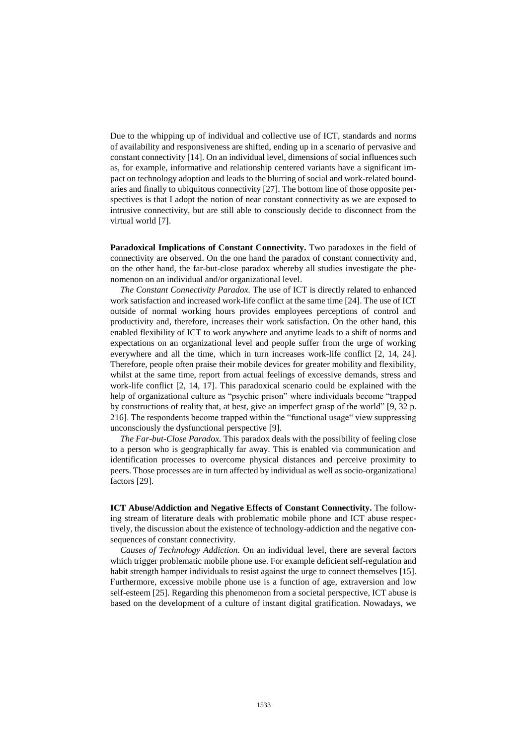Due to the whipping up of individual and collective use of ICT, standards and norms of availability and responsiveness are shifted, ending up in a scenario of pervasive and constant connectivity [14]. On an individual level, dimensions of social influences such as, for example, informative and relationship centered variants have a significant impact on technology adoption and leads to the blurring of social and work-related boundaries and finally to ubiquitous connectivity [27]. The bottom line of those opposite perspectives is that I adopt the notion of near constant connectivity as we are exposed to intrusive connectivity, but are still able to consciously decide to disconnect from the virtual world [7].

Paradoxical Implications of Constant Connectivity. Two paradoxes in the field of connectivity are observed. On the one hand the paradox of constant connectivity and, on the other hand, the far-but-close paradox whereby all studies investigate the phenomenon on an individual and/or organizational level.

*The Constant Connectivity Paradox.* The use of ICT is directly related to enhanced work satisfaction and increased work-life conflict at the same time [24]. The use of ICT outside of normal working hours provides employees perceptions of control and productivity and, therefore, increases their work satisfaction. On the other hand, this enabled flexibility of ICT to work anywhere and anytime leads to a shift of norms and expectations on an organizational level and people suffer from the urge of working everywhere and all the time, which in turn increases work-life conflict [2, 14, 24]. Therefore, people often praise their mobile devices for greater mobility and flexibility, whilst at the same time, report from actual feelings of excessive demands, stress and work-life conflict [2, 14, 17]. This paradoxical scenario could be explained with the help of organizational culture as "psychic prison" where individuals become "trapped by constructions of reality that, at best, give an imperfect grasp of the world" [9, 32 p. 216]. The respondents become trapped within the "functional usage" view suppressing unconsciously the dysfunctional perspective [9].

*The Far-but-Close Paradox.* This paradox deals with the possibility of feeling close to a person who is geographically far away. This is enabled via communication and identification processes to overcome physical distances and perceive proximity to peers. Those processes are in turn affected by individual as well as socio-organizational factors [29].

**ICT Abuse/Addiction and Negative Effects of Constant Connectivity.** The following stream of literature deals with problematic mobile phone and ICT abuse respectively, the discussion about the existence of technology-addiction and the negative consequences of constant connectivity.

*Causes of Technology Addiction.* On an individual level, there are several factors which trigger problematic mobile phone use. For example deficient self-regulation and habit strength hamper individuals to resist against the urge to connect themselves [15]. Furthermore, excessive mobile phone use is a function of age, extraversion and low self-esteem [25]. Regarding this phenomenon from a societal perspective, ICT abuse is based on the development of a culture of instant digital gratification. Nowadays, we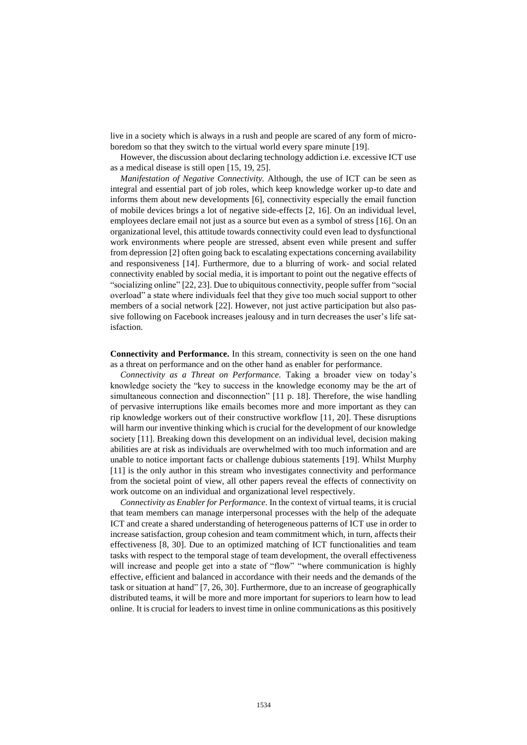live in a society which is always in a rush and people are scared of any form of microboredom so that they switch to the virtual world every spare minute [19].

However, the discussion about declaring technology addiction i.e. excessive ICT use as a medical disease is still open [15, 19, 25].

*Manifestation of Negative Connectivity.* Although, the use of ICT can be seen as integral and essential part of job roles, which keep knowledge worker up-to date and informs them about new developments [6], connectivity especially the email function of mobile devices brings a lot of negative side-effects [2, 16]. On an individual level, employees declare email not just as a source but even as a symbol of stress [16]. On an organizational level, this attitude towards connectivity could even lead to dysfunctional work environments where people are stressed, absent even while present and suffer from depression [2] often going back to escalating expectations concerning availability and responsiveness [14]. Furthermore, due to a blurring of work- and social related connectivity enabled by social media, it is important to point out the negative effects of "socializing online" [22, 23]. Due to ubiquitous connectivity, people suffer from "social overload" a state where individuals feel that they give too much social support to other members of a social network [22]. However, not just active participation but also passive following on Facebook increases jealousy and in turn decreases the user's life satisfaction.

**Connectivity and Performance.** In this stream, connectivity is seen on the one hand as a threat on performance and on the other hand as enabler for performance.

*Connectivity as a Threat on Performance.* Taking a broader view on today's knowledge society the "key to success in the knowledge economy may be the art of simultaneous connection and disconnection" [11 p. 18]. Therefore, the wise handling of pervasive interruptions like emails becomes more and more important as they can rip knowledge workers out of their constructive workflow [11, 20]. These disruptions will harm our inventive thinking which is crucial for the development of our knowledge society [11]. Breaking down this development on an individual level, decision making abilities are at risk as individuals are overwhelmed with too much information and are unable to notice important facts or challenge dubious statements [19]. Whilst Murphy [11] is the only author in this stream who investigates connectivity and performance from the societal point of view, all other papers reveal the effects of connectivity on work outcome on an individual and organizational level respectively.

*Connectivity as Enabler for Performance.* In the context of virtual teams, it is crucial that team members can manage interpersonal processes with the help of the adequate ICT and create a shared understanding of heterogeneous patterns of ICT use in order to increase satisfaction, group cohesion and team commitment which, in turn, affects their effectiveness [8, 30]. Due to an optimized matching of ICT functionalities and team tasks with respect to the temporal stage of team development, the overall effectiveness will increase and people get into a state of "flow" "where communication is highly effective, efficient and balanced in accordance with their needs and the demands of the task or situation at hand" [7, 26, 30]. Furthermore, due to an increase of geographically distributed teams, it will be more and more important for superiors to learn how to lead online. It is crucial for leaders to invest time in online communications as this positively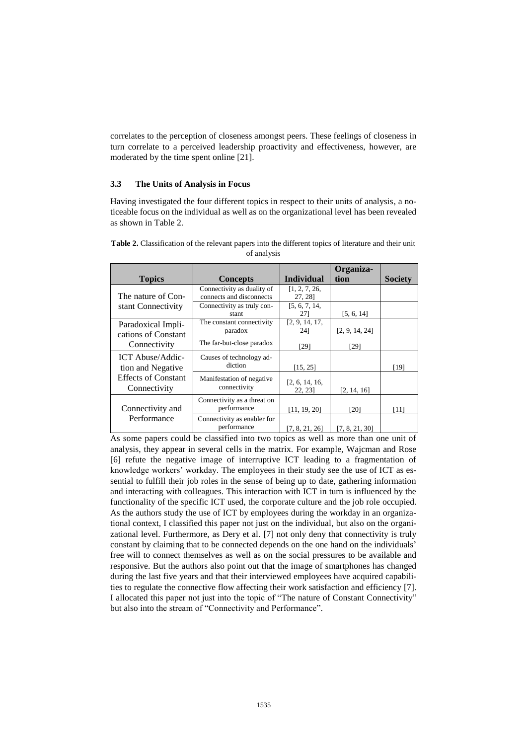correlates to the perception of closeness amongst peers. These feelings of closeness in turn correlate to a perceived leadership proactivity and effectiveness, however, are moderated by the time spent online [21].

#### **3.3 The Units of Analysis in Focus**

Having investigated the four different topics in respect to their units of analysis, a noticeable focus on the individual as well as on the organizational level has been revealed as shown in Table 2.

|                                            |                                                        |                           | Organiza-      |                |
|--------------------------------------------|--------------------------------------------------------|---------------------------|----------------|----------------|
| <b>Topics</b>                              | <b>Concepts</b>                                        | <b>Individual</b>         | tion           | <b>Society</b> |
| The nature of Con-                         | Connectivity as duality of<br>connects and disconnects | [1, 2, 7, 26,<br>27, 28]  |                |                |
| stant Connectivity                         | Connectivity as truly con-<br>stant                    | [5, 6, 7, 14,<br>27       | [5, 6, 14]     |                |
| Paradoxical Impli-<br>cations of Constant  | The constant connectivity<br>paradox                   | [2, 9, 14, 17,<br>241     | [2, 9, 14, 24] |                |
| Connectivity                               | The far-but-close paradox                              | $[29]$                    | [29]           |                |
| ICT Abuse/Addic-<br>tion and Negative      | Causes of technology ad-<br>diction                    | [15, 25]                  |                | [19]           |
| <b>Effects of Constant</b><br>Connectivity | Manifestation of negative<br>connectivity              | [2, 6, 14, 16,<br>22, 23] | [2, 14, 16]    |                |
| Connectivity and                           | Connectivity as a threat on<br>performance             | [11, 19, 20]              | [20]           | [11]           |
| Performance                                | Connectivity as enabler for<br>performance             | [7, 8, 21, 26]            | [7, 8, 21, 30] |                |

**Table 2.** Classification of the relevant papers into the different topics of literature and their unit of analysis

As some papers could be classified into two topics as well as more than one unit of analysis, they appear in several cells in the matrix. For example, Wajcman and Rose [6] refute the negative image of interruptive ICT leading to a fragmentation of knowledge workers' workday. The employees in their study see the use of ICT as essential to fulfill their job roles in the sense of being up to date, gathering information and interacting with colleagues. This interaction with ICT in turn is influenced by the functionality of the specific ICT used, the corporate culture and the job role occupied. As the authors study the use of ICT by employees during the workday in an organizational context, I classified this paper not just on the individual, but also on the organizational level. Furthermore, as Dery et al. [7] not only deny that connectivity is truly constant by claiming that to be connected depends on the one hand on the individuals' free will to connect themselves as well as on the social pressures to be available and responsive. But the authors also point out that the image of smartphones has changed during the last five years and that their interviewed employees have acquired capabilities to regulate the connective flow affecting their work satisfaction and efficiency [7]. I allocated this paper not just into the topic of "The nature of Constant Connectivity" but also into the stream of "Connectivity and Performance".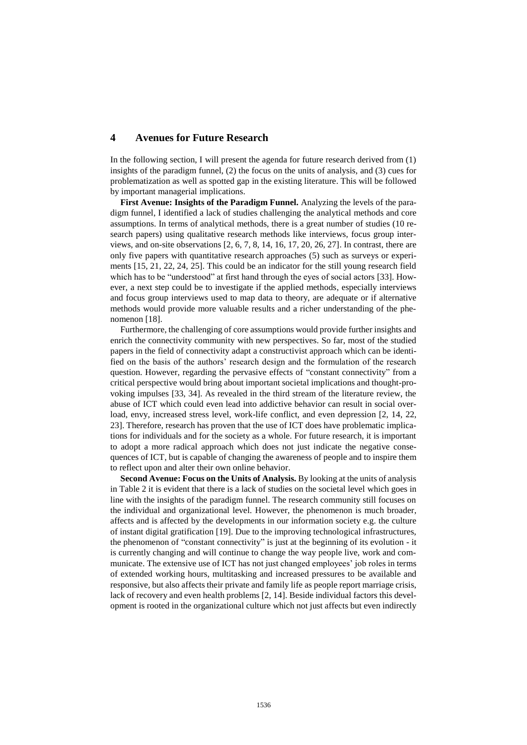# **4 Avenues for Future Research**

In the following section, I will present the agenda for future research derived from (1) insights of the paradigm funnel, (2) the focus on the units of analysis, and (3) cues for problematization as well as spotted gap in the existing literature. This will be followed by important managerial implications.

**First Avenue: Insights of the Paradigm Funnel.** Analyzing the levels of the paradigm funnel, I identified a lack of studies challenging the analytical methods and core assumptions. In terms of analytical methods, there is a great number of studies (10 research papers) using qualitative research methods like interviews, focus group interviews, and on-site observations [2, 6, 7, 8, 14, 16, 17, 20, 26, 27]. In contrast, there are only five papers with quantitative research approaches (5) such as surveys or experiments [15, 21, 22, 24, 25]. This could be an indicator for the still young research field which has to be "understood" at first hand through the eyes of social actors [33]. However, a next step could be to investigate if the applied methods, especially interviews and focus group interviews used to map data to theory, are adequate or if alternative methods would provide more valuable results and a richer understanding of the phenomenon [18].

Furthermore, the challenging of core assumptions would provide further insights and enrich the connectivity community with new perspectives. So far, most of the studied papers in the field of connectivity adapt a constructivist approach which can be identified on the basis of the authors' research design and the formulation of the research question. However, regarding the pervasive effects of "constant connectivity" from a critical perspective would bring about important societal implications and thought-provoking impulses [33, 34]. As revealed in the third stream of the literature review, the abuse of ICT which could even lead into addictive behavior can result in social overload, envy, increased stress level, work-life conflict, and even depression [2, 14, 22, 23]. Therefore, research has proven that the use of ICT does have problematic implications for individuals and for the society as a whole. For future research, it is important to adopt a more radical approach which does not just indicate the negative consequences of ICT, but is capable of changing the awareness of people and to inspire them to reflect upon and alter their own online behavior.

**Second Avenue: Focus on the Units of Analysis.** By looking at the units of analysis in Table 2 it is evident that there is a lack of studies on the societal level which goes in line with the insights of the paradigm funnel. The research community still focuses on the individual and organizational level. However, the phenomenon is much broader, affects and is affected by the developments in our information society e.g. the culture of instant digital gratification [19]. Due to the improving technological infrastructures, the phenomenon of "constant connectivity" is just at the beginning of its evolution - it is currently changing and will continue to change the way people live, work and communicate. The extensive use of ICT has not just changed employees' job roles in terms of extended working hours, multitasking and increased pressures to be available and responsive, but also affects their private and family life as people report marriage crisis, lack of recovery and even health problems [2, 14]. Beside individual factors this development is rooted in the organizational culture which not just affects but even indirectly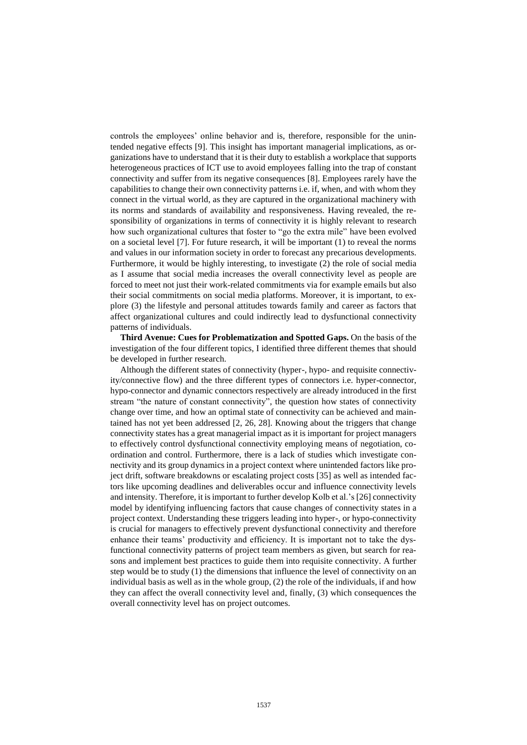controls the employees' online behavior and is, therefore, responsible for the unintended negative effects [9]. This insight has important managerial implications, as organizations have to understand that it is their duty to establish a workplace that supports heterogeneous practices of ICT use to avoid employees falling into the trap of constant connectivity and suffer from its negative consequences [8]. Employees rarely have the capabilities to change their own connectivity patterns i.e. if, when, and with whom they connect in the virtual world, as they are captured in the organizational machinery with its norms and standards of availability and responsiveness. Having revealed, the responsibility of organizations in terms of connectivity it is highly relevant to research how such organizational cultures that foster to "go the extra mile" have been evolved on a societal level [7]. For future research, it will be important (1) to reveal the norms and values in our information society in order to forecast any precarious developments. Furthermore, it would be highly interesting, to investigate (2) the role of social media as I assume that social media increases the overall connectivity level as people are forced to meet not just their work-related commitments via for example emails but also their social commitments on social media platforms. Moreover, it is important, to explore (3) the lifestyle and personal attitudes towards family and career as factors that affect organizational cultures and could indirectly lead to dysfunctional connectivity patterns of individuals.

**Third Avenue: Cues for Problematization and Spotted Gaps.** On the basis of the investigation of the four different topics, I identified three different themes that should be developed in further research.

Although the different states of connectivity (hyper-, hypo- and requisite connectivity/connective flow) and the three different types of connectors i.e. hyper-connector, hypo-connector and dynamic connectors respectively are already introduced in the first stream "the nature of constant connectivity", the question how states of connectivity change over time, and how an optimal state of connectivity can be achieved and maintained has not yet been addressed [2, 26, 28]. Knowing about the triggers that change connectivity states has a great managerial impact as it is important for project managers to effectively control dysfunctional connectivity employing means of negotiation, coordination and control. Furthermore, there is a lack of studies which investigate connectivity and its group dynamics in a project context where unintended factors like project drift, software breakdowns or escalating project costs [35] as well as intended factors like upcoming deadlines and deliverables occur and influence connectivity levels and intensity. Therefore, it is important to further develop Kolb et al.'s [26] connectivity model by identifying influencing factors that cause changes of connectivity states in a project context. Understanding these triggers leading into hyper-, or hypo-connectivity is crucial for managers to effectively prevent dysfunctional connectivity and therefore enhance their teams' productivity and efficiency. It is important not to take the dysfunctional connectivity patterns of project team members as given, but search for reasons and implement best practices to guide them into requisite connectivity. A further step would be to study (1) the dimensions that influence the level of connectivity on an individual basis as well as in the whole group, (2) the role of the individuals, if and how they can affect the overall connectivity level and, finally, (3) which consequences the overall connectivity level has on project outcomes.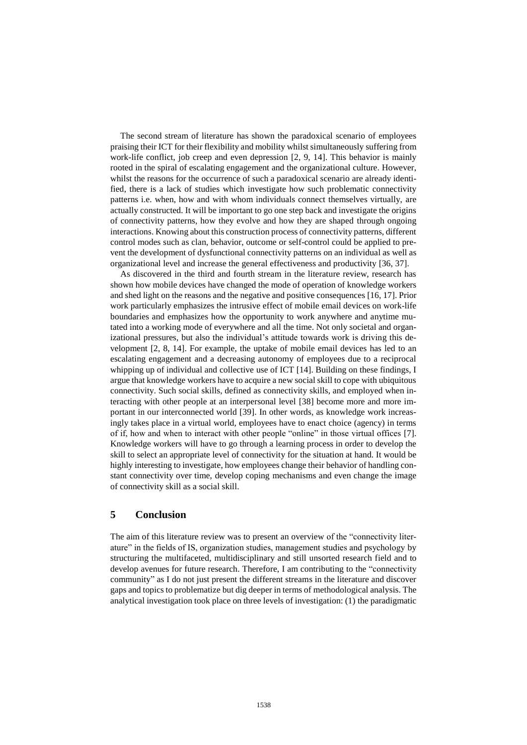The second stream of literature has shown the paradoxical scenario of employees praising their ICT for their flexibility and mobility whilst simultaneously suffering from work-life conflict, job creep and even depression [2, 9, 14]. This behavior is mainly rooted in the spiral of escalating engagement and the organizational culture. However, whilst the reasons for the occurrence of such a paradoxical scenario are already identified, there is a lack of studies which investigate how such problematic connectivity patterns i.e. when, how and with whom individuals connect themselves virtually, are actually constructed. It will be important to go one step back and investigate the origins of connectivity patterns, how they evolve and how they are shaped through ongoing interactions. Knowing about this construction process of connectivity patterns, different control modes such as clan, behavior, outcome or self-control could be applied to prevent the development of dysfunctional connectivity patterns on an individual as well as organizational level and increase the general effectiveness and productivity [36, 37].

As discovered in the third and fourth stream in the literature review, research has shown how mobile devices have changed the mode of operation of knowledge workers and shed light on the reasons and the negative and positive consequences [16, 17]. Prior work particularly emphasizes the intrusive effect of mobile email devices on work-life boundaries and emphasizes how the opportunity to work anywhere and anytime mutated into a working mode of everywhere and all the time. Not only societal and organizational pressures, but also the individual's attitude towards work is driving this development [2, 8, 14]. For example, the uptake of mobile email devices has led to an escalating engagement and a decreasing autonomy of employees due to a reciprocal whipping up of individual and collective use of ICT [14]. Building on these findings, I argue that knowledge workers have to acquire a new social skill to cope with ubiquitous connectivity. Such social skills, defined as connectivity skills, and employed when interacting with other people at an interpersonal level [38] become more and more important in our interconnected world [39]. In other words, as knowledge work increasingly takes place in a virtual world, employees have to enact choice (agency) in terms of if, how and when to interact with other people "online" in those virtual offices [7]. Knowledge workers will have to go through a learning process in order to develop the skill to select an appropriate level of connectivity for the situation at hand. It would be highly interesting to investigate, how employees change their behavior of handling constant connectivity over time, develop coping mechanisms and even change the image of connectivity skill as a social skill.

## **5 Conclusion**

The aim of this literature review was to present an overview of the "connectivity literature" in the fields of IS, organization studies, management studies and psychology by structuring the multifaceted, multidisciplinary and still unsorted research field and to develop avenues for future research. Therefore, I am contributing to the "connectivity community" as I do not just present the different streams in the literature and discover gaps and topics to problematize but dig deeper in terms of methodological analysis. The analytical investigation took place on three levels of investigation: (1) the paradigmatic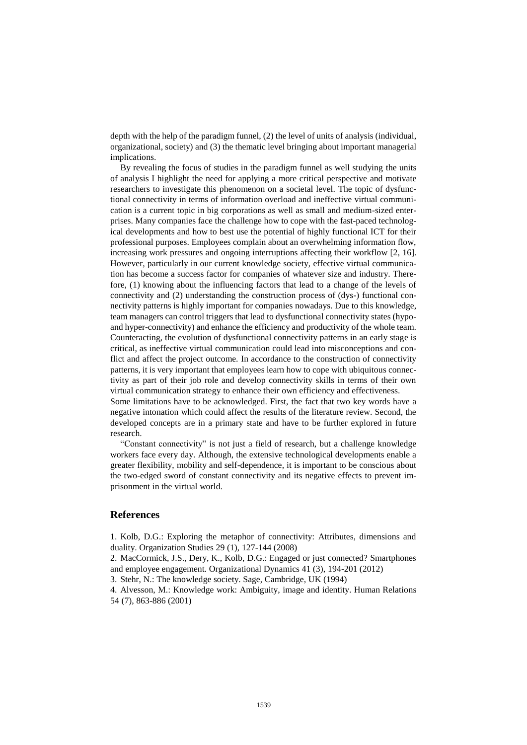depth with the help of the paradigm funnel, (2) the level of units of analysis (individual, organizational, society) and (3) the thematic level bringing about important managerial implications.

By revealing the focus of studies in the paradigm funnel as well studying the units of analysis I highlight the need for applying a more critical perspective and motivate researchers to investigate this phenomenon on a societal level. The topic of dysfunctional connectivity in terms of information overload and ineffective virtual communication is a current topic in big corporations as well as small and medium-sized enterprises. Many companies face the challenge how to cope with the fast-paced technological developments and how to best use the potential of highly functional ICT for their professional purposes. Employees complain about an overwhelming information flow, increasing work pressures and ongoing interruptions affecting their workflow [2, 16]. However, particularly in our current knowledge society, effective virtual communication has become a success factor for companies of whatever size and industry. Therefore, (1) knowing about the influencing factors that lead to a change of the levels of connectivity and (2) understanding the construction process of (dys-) functional connectivity patterns is highly important for companies nowadays. Due to this knowledge, team managers can control triggers that lead to dysfunctional connectivity states (hypoand hyper-connectivity) and enhance the efficiency and productivity of the whole team. Counteracting, the evolution of dysfunctional connectivity patterns in an early stage is critical, as ineffective virtual communication could lead into misconceptions and conflict and affect the project outcome. In accordance to the construction of connectivity patterns, it is very important that employees learn how to cope with ubiquitous connectivity as part of their job role and develop connectivity skills in terms of their own virtual communication strategy to enhance their own efficiency and effectiveness.

Some limitations have to be acknowledged. First, the fact that two key words have a negative intonation which could affect the results of the literature review. Second, the developed concepts are in a primary state and have to be further explored in future research.

"Constant connectivity" is not just a field of research, but a challenge knowledge workers face every day. Although, the extensive technological developments enable a greater flexibility, mobility and self-dependence, it is important to be conscious about the two-edged sword of constant connectivity and its negative effects to prevent imprisonment in the virtual world.

#### **References**

1. Kolb, D.G.: Exploring the metaphor of connectivity: Attributes, dimensions and duality. Organization Studies 29 (1), 127-144 (2008)

2. MacCormick, J.S., Dery, K., Kolb, D.G.: Engaged or just connected? Smartphones and employee engagement. Organizational Dynamics 41 (3), 194-201 (2012)

3. Stehr, N.: The knowledge society. Sage, Cambridge, UK (1994)

4. Alvesson, M.: Knowledge work: Ambiguity, image and identity. Human Relations 54 (7), 863-886 (2001)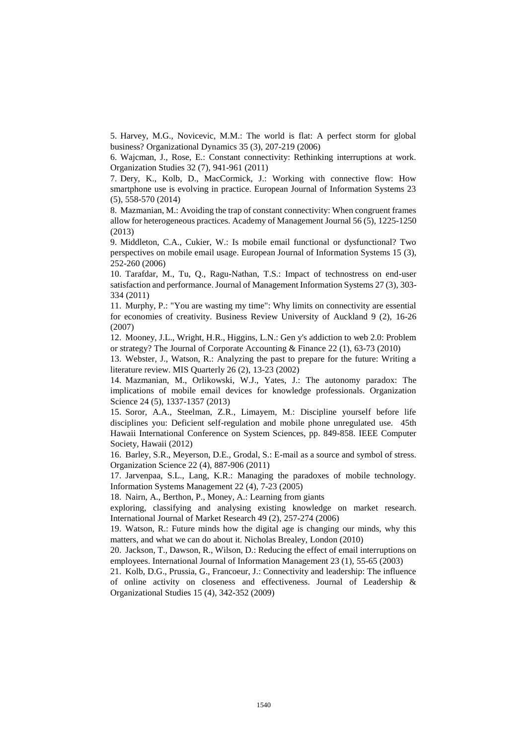5. Harvey, M.G., Novicevic, M.M.: The world is flat: A perfect storm for global business? Organizational Dynamics 35 (3), 207-219 (2006)

6. Wajcman, J., Rose, E.: Constant connectivity: Rethinking interruptions at work. Organization Studies 32 (7), 941-961 (2011)

7. Dery, K., Kolb, D., MacCormick, J.: Working with connective flow: How smartphone use is evolving in practice. European Journal of Information Systems 23 (5), 558-570 (2014)

8. Mazmanian, M.: Avoiding the trap of constant connectivity: When congruent frames allow for heterogeneous practices. Academy of Management Journal 56 (5), 1225-1250 (2013)

9. Middleton, C.A., Cukier, W.: Is mobile email functional or dysfunctional? Two perspectives on mobile email usage. European Journal of Information Systems 15 (3), 252-260 (2006)

10. Tarafdar, M., Tu, Q., Ragu-Nathan, T.S.: Impact of technostress on end-user satisfaction and performance. Journal of Management Information Systems 27 (3), 303- 334 (2011)

11. Murphy, P.: "You are wasting my time": Why limits on connectivity are essential for economies of creativity. Business Review University of Auckland 9 (2), 16-26 (2007)

12. Mooney, J.L., Wright, H.R., Higgins, L.N.: Gen y's addiction to web 2.0: Problem or strategy? The Journal of Corporate Accounting & Finance 22 (1), 63-73 (2010)

13. Webster, J., Watson, R.: Analyzing the past to prepare for the future: Writing a literature review. MIS Quarterly 26 (2), 13-23 (2002)

14. Mazmanian, M., Orlikowski, W.J., Yates, J.: The autonomy paradox: The implications of mobile email devices for knowledge professionals. Organization Science 24 (5), 1337-1357 (2013)

15. Soror, A.A., Steelman, Z.R., Limayem, M.: Discipline yourself before life disciplines you: Deficient self-regulation and mobile phone unregulated use. 45th Hawaii International Conference on System Sciences, pp. 849-858. IEEE Computer Society, Hawaii (2012)

16. Barley, S.R., Meyerson, D.E., Grodal, S.: E-mail as a source and symbol of stress. Organization Science 22 (4), 887-906 (2011)

17. Jarvenpaa, S.L., Lang, K.R.: Managing the paradoxes of mobile technology. Information Systems Management 22 (4), 7-23 (2005)

18. Nairn, A., Berthon, P., Money, A.: Learning from giants

exploring, classifying and analysing existing knowledge on market research. International Journal of Market Research 49 (2), 257-274 (2006)

19. Watson, R.: Future minds how the digital age is changing our minds, why this matters, and what we can do about it. Nicholas Brealey, London (2010)

20. Jackson, T., Dawson, R., Wilson, D.: Reducing the effect of email interruptions on employees. International Journal of Information Management 23 (1), 55-65 (2003)

21. Kolb, D.G., Prussia, G., Francoeur, J.: Connectivity and leadership: The influence of online activity on closeness and effectiveness. Journal of Leadership & Organizational Studies 15 (4), 342-352 (2009)